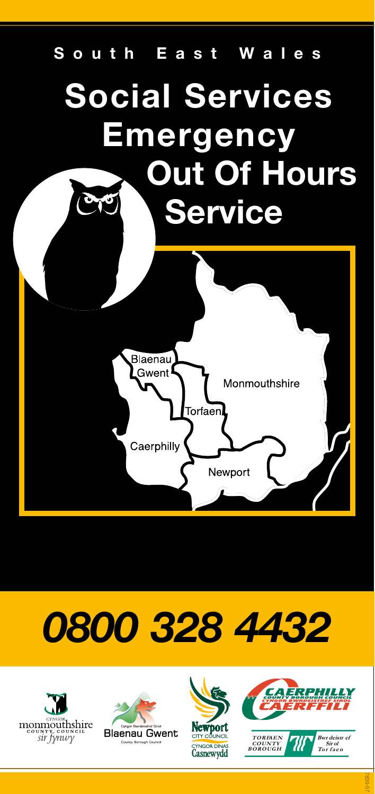

# *0800 328 4432*







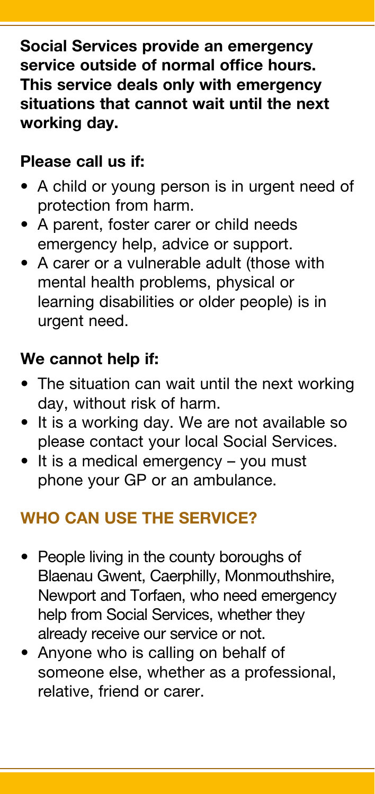**Social Services provide an emergency service outside of normal office hours. This service deals only with emergency situations that cannot wait until the next working day.**

# **Please call us if:**

- A child or young person is in urgent need of protection from harm.
- A parent, foster carer or child needs emergency help, advice or support.
- A carer or a vulnerable adult (those with mental health problems, physical or learning disabilities or older people) is in urgent need.

# **We cannot help if:**

- The situation can wait until the next working day, without risk of harm.
- It is a working day. We are not available so please contact your local Social Services.
- It is a medical emergency you must phone your GP or an ambulance.

# **WHO CAN USE THE SERVICE?**

- People living in the county boroughs of Blaenau Gwent, Caerphilly, Monmouthshire, Newport and Torfaen, who need emergency help from Social Services, whether they already receive our service or not.
- Anyone who is calling on behalf of someone else, whether as a professional, relative, friend or carer.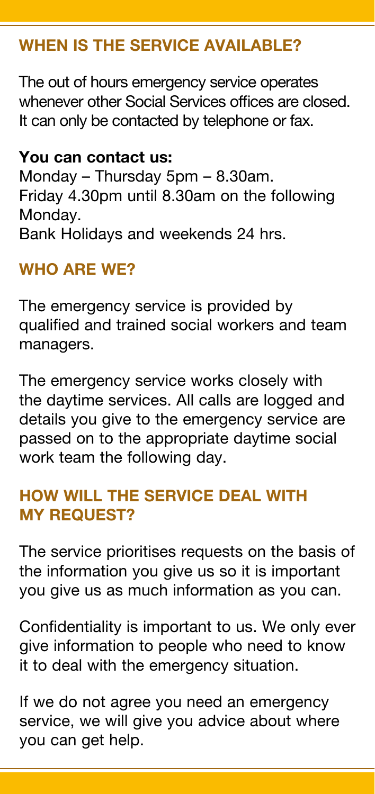# **WHEN IS THE SERVICE AVAILABLE?**

The out of hours emergency service operates whenever other Social Services offices are closed. It can only be contacted by telephone or fax.

#### **You can contact us:**

Monday – Thursday 5pm – 8.30am. Friday 4.30pm until 8.30am on the following Monday. Bank Holidays and weekends 24 hrs.

## **WHO ARE WE?**

The emergency service is provided by qualified and trained social workers and team managers.

The emergency service works closely with the daytime services. All calls are logged and details you give to the emergency service are passed on to the appropriate daytime social work team the following day.

## **HOW WILL THE SERVICE DEAL WITH MY REQUEST?**

The service prioritises requests on the basis of the information you give us so it is important you give us as much information as you can.

Confidentiality is important to us. We only ever give information to people who need to know it to deal with the emergency situation.

If we do not agree you need an emergency service, we will give you advice about where you can get help.